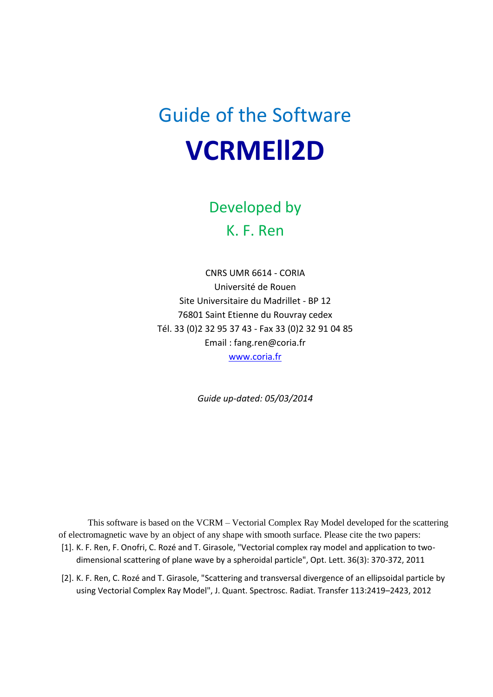# Guide of the Software **VCRMEll2D**

Developed by K. F. Ren

CNRS UMR 6614 - CORIA Université de Rouen Site Universitaire du Madrillet - BP 12 76801 Saint Etienne du Rouvray cedex Tél. 33 (0)2 32 95 37 43 - Fax 33 (0)2 32 91 04 85 Email : fang.ren@coria.fr [www.coria.fr](http://www.coria.fr/)

*Guide up-dated: 05/03/2014*

This software is based on the VCRM – Vectorial Complex Ray Model developed for the scattering of electromagnetic wave by an object of any shape with smooth surface. Please cite the two papers: [1]. K. F. Ren, F. Onofri, C. Rozé and T. Girasole, "Vectorial complex ray model and application to twodimensional scattering of plane wave by a spheroidal particle", Opt. Lett. 36(3): 370-372, 2011

[2]. K. F. Ren, C. Rozé and T. Girasole, "Scattering and transversal divergence of an ellipsoidal particle by using Vectorial Complex Ray Model", J. Quant. Spectrosc. Radiat. Transfer 113:2419–2423, 2012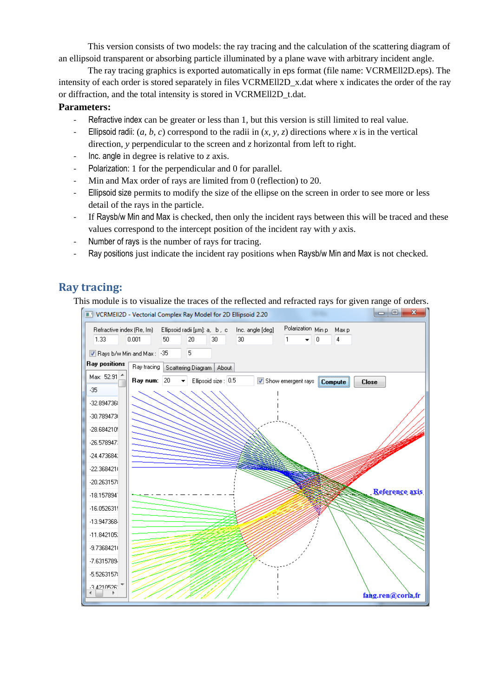This version consists of two models: the ray tracing and the calculation of the scattering diagram of an ellipsoid transparent or absorbing particle illuminated by a plane wave with arbitrary incident angle.

The ray tracing graphics is exported automatically in eps format (file name: VCRMEll2D.eps). The intensity of each order is stored separately in files VCRMEll2D\_x.dat where x indicates the order of the ray or diffraction, and the total intensity is stored in VCRMEll2D\_t.dat.

#### **Parameters:**

- Refractive index can be greater or less than 1, but this version is still limited to real value.
- Ellipsoid radii: (*a, b, c*) correspond to the radii in (*x, y, z*) directions where *x* is in the vertical direction, *y* perpendicular to the screen and *z* horizontal from left to right.
- Inc. angle in degree is relative to *z* axis.
- Polarization: 1 for the perpendicular and 0 for parallel.
- Min and Max order of rays are limited from 0 (reflection) to 20.
- Ellipsoid size permits to modify the size of the ellipse on the screen in order to see more or less detail of the rays in the particle.
- If Raysb/w Min and Max is checked, then only the incident rays between this will be traced and these values correspond to the intercept position of the incident ray with *y* axis.
- Number of rays is the number of rays for tracing.
- Ray positions just indicate the incident ray positions when Raysb/w Min and Max is not checked.

### **Ray tracing:**

This module is to visualize the traces of the reflected and refracted rays for given range of orders.